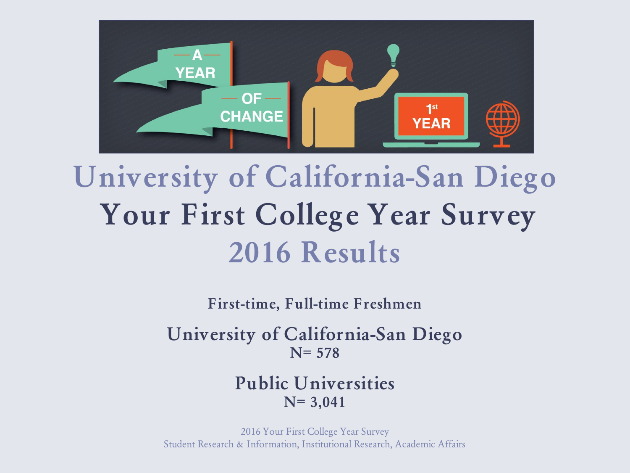

# **University of California-San Diego Your First College Year Survey 2016 Results**

**First-time, Full-time Freshmen**

**University of California-San Diego N= 578**

#### **Public Universities N= 3,041**

2016 Your First College Year Survey Student Research & Information, Institutional Research, Academic Affairs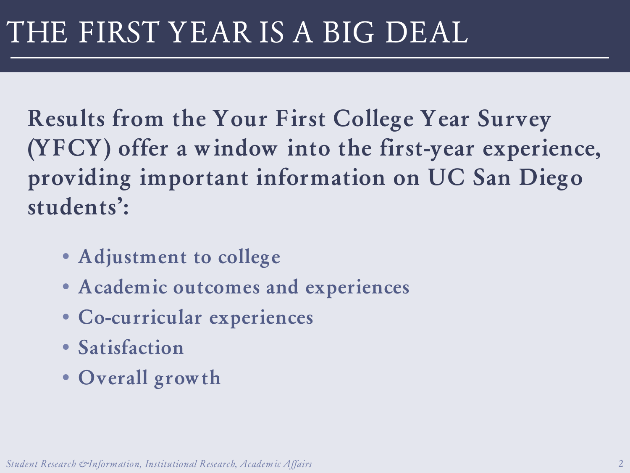**Results from the Your First College Year Survey (YFCY) offer a window into the first-year experience, providing important information on UC San Diego students':**

- **Adjustment to college**
- **Academic outcomes and experiences**
- **Co-curricular experiences**
- **Satisfaction**
- **Overall growth**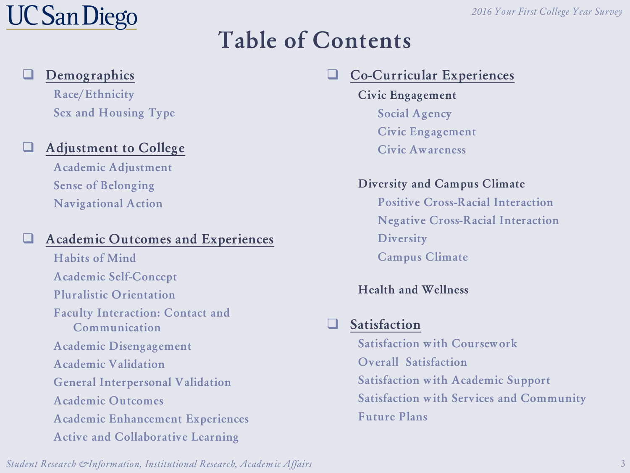#### **Table of Contents**

#### **Demographics**

**Race/Ethnicity Sex and Housing Type**

#### **Adjustment to College**

**Academic Adjustment Sense of Belonging Navigational Action**

#### **Academic Outcomes and Experiences**

**Habits of Mind Academic Self-Concept Pluralistic Orientation Faculty Interaction: Contact and Communication Academic Disengagement Academic Validation General Interpersonal Validation Academic Outcomes Academic Enhancement Experiences Active and Collaborative Learning** 

#### **Co-Curricular Experiences**

**Civic Engagement Social Agency Civic Engagement Civic Awareness**

#### **Diversity and Campus Climate**

**Positive Cross-Racial Interaction Negative Cross-Racial Interaction Diversity Campus Climate**

#### **Health and Wellness**

#### **Satisfaction**

**Satisfaction with Coursework Overall Satisfaction Satisfaction with Academic Support Satisfaction with Services and Community Future Plans**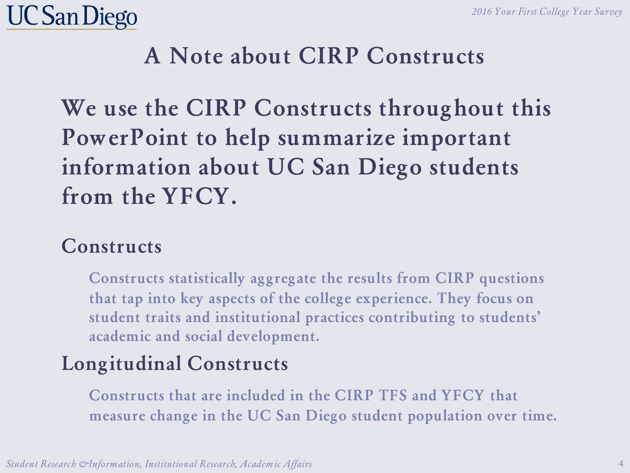

#### **A Note about CIRP Constructs**

**We use the CIRP Constructs throughout this PowerPoint to help summarize important information about UC San Diego students from the YFCY.** 

#### **Constructs**

**Constructs statistically aggregate the results from CIRP questions that tap into key aspects of the college experience. They focus on student traits and institutional practices contributing to students' academic and social development.**

#### **Longitudinal Constructs**

**Constructs that are included in the CIRP TFS and YFCY that measure change in the UC San Diego student population over time.**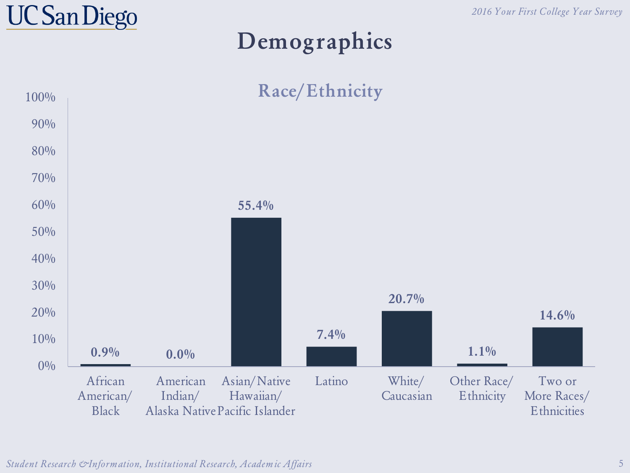

#### **Demographics**

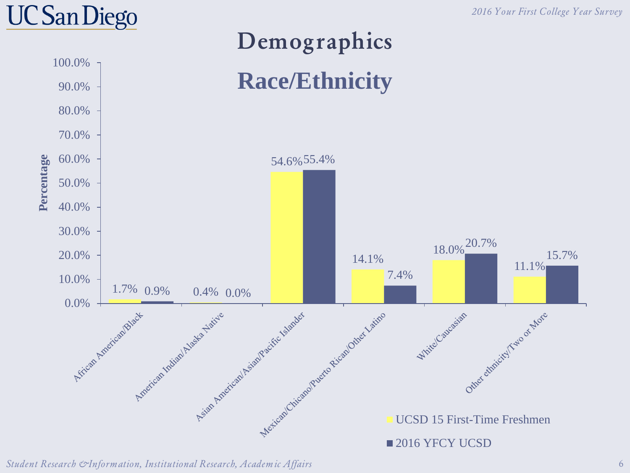*2016 Your First College Year Survey*

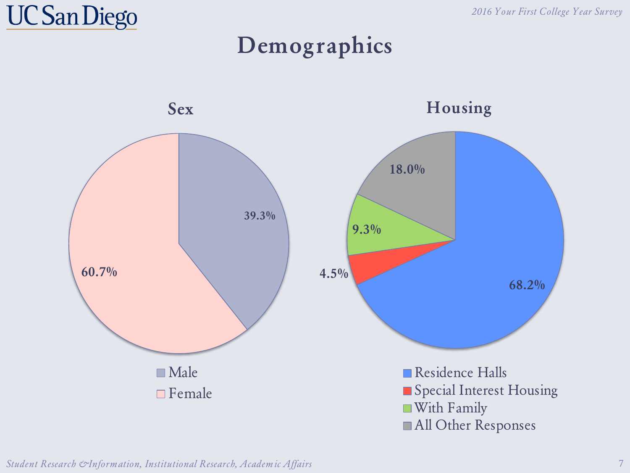#### **Demographics**

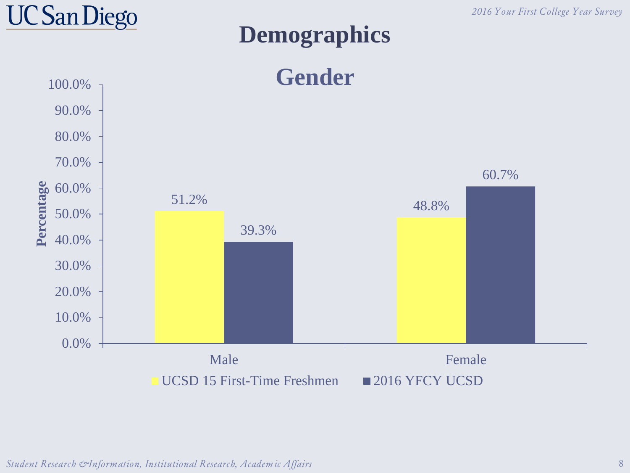

#### **Demographics**



*Student Research & Information, Institutional Research, Academic Affairs* 8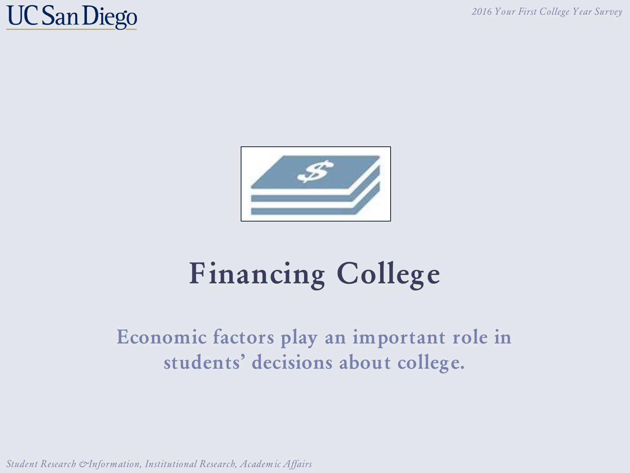### **UC San Diego**



# **Financing College**

#### **Economic factors play an important role in students' decisions about college.**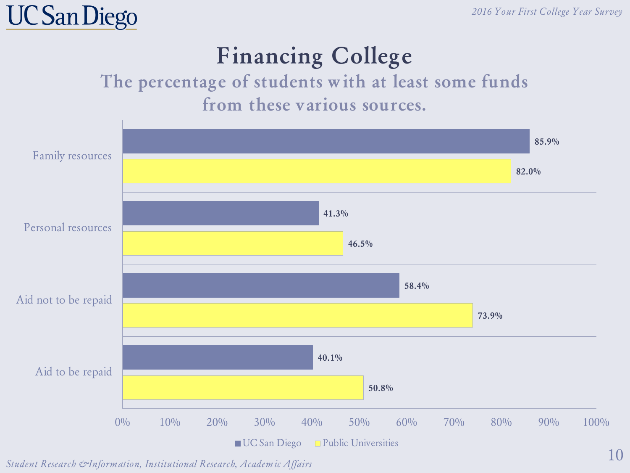### **Financing College**

#### **The percentage of students with at least some funds from these various sources.**



*Student Research & Information, Institutional Research, Academic Affairs*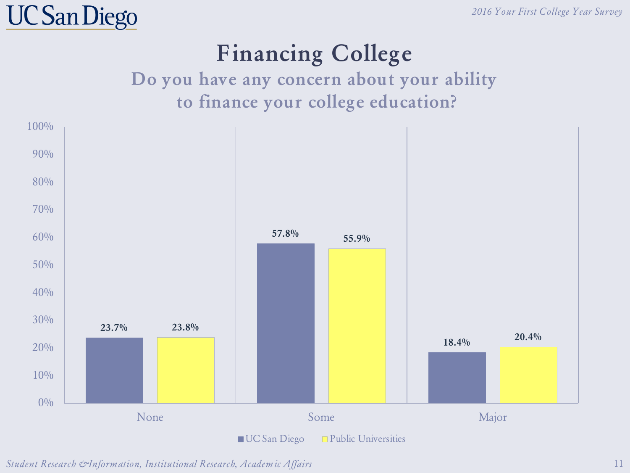## **Financing College**

#### **Do you have any concern about your ability to finance your college education?**



*Student Research & Information, Institutional Research, Academic Affairs*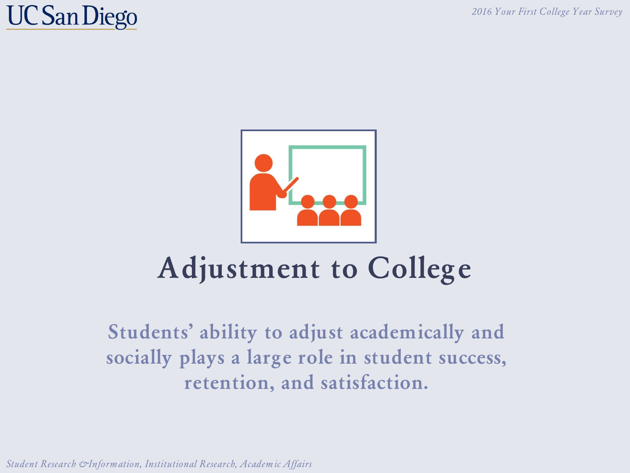## **UC San Diego**



# **Adjustment to College**

**Students' ability to adjust academically and socially plays a large role in student success, retention, and satisfaction.**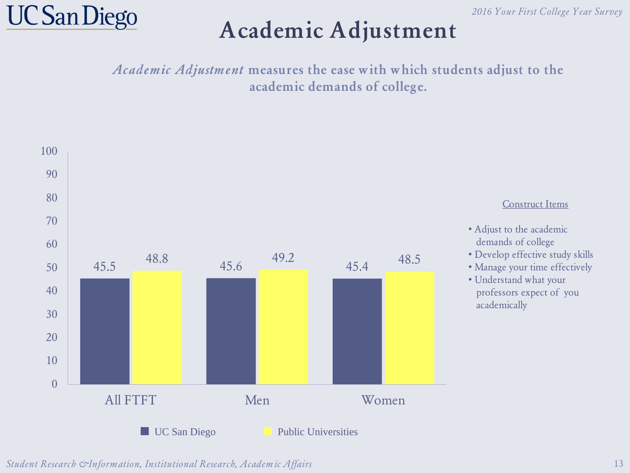

#### **Academic Adjustment**

Academic Adjustment **measures the ease with which students adjust to the academic demands of college.**



*Student Research & Information, Institutional Research, Academic Affairs*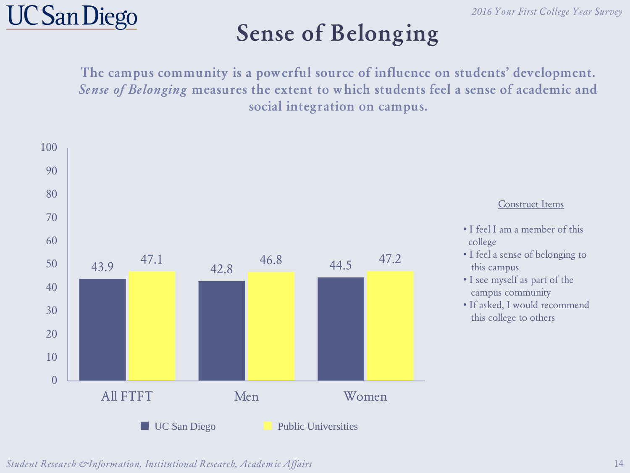

#### **Sense of Belonging**

**The campus community is a powerful source of influence on students' development.**  Sense of Belonging **measures the extent to which students feel a sense of academic and social integration on campus.**

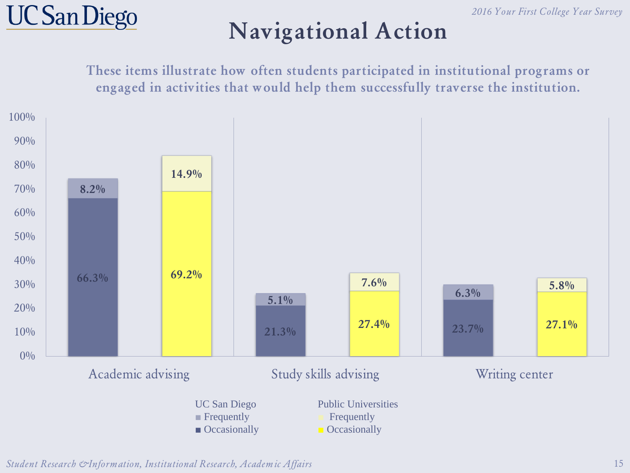

#### **Navigational Action**

**These items illustrate how often students participated in institutional programs or engaged in activities that would help them successfully traverse the institution.**

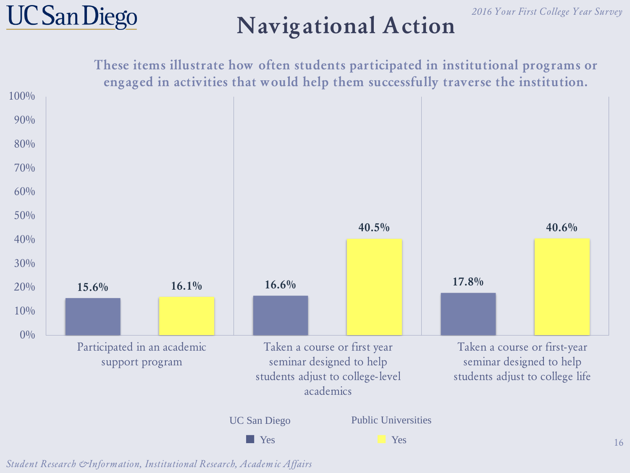



#### **Navigational Action**

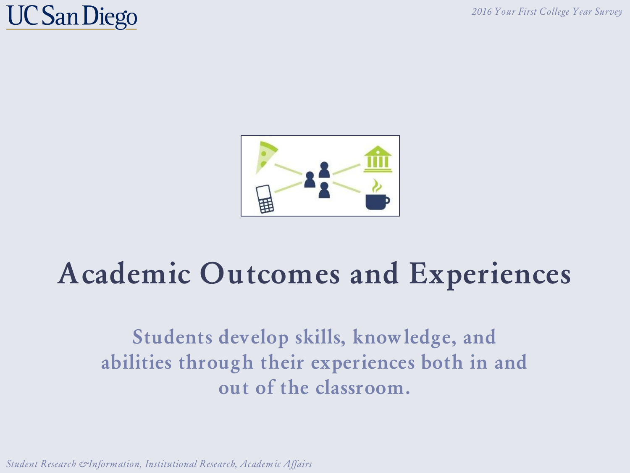## **UC San Diego**



# **Academic Outcomes and Experiences**

**Students develop skills, knowledge, and abilities through their experiences both in and out of the classroom.**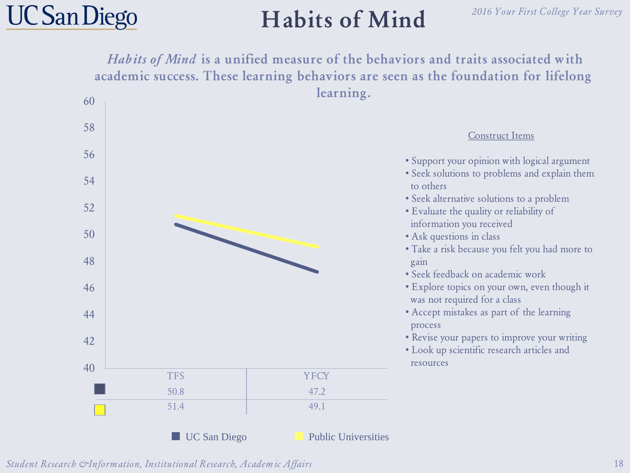## **Habits of Mind**

#### *2016 Your First College Year Survey*

Habits of Mind **is a unified measure of the behaviors and traits associated with academic success. These learning behaviors are seen as the foundation for lifelong learning.**

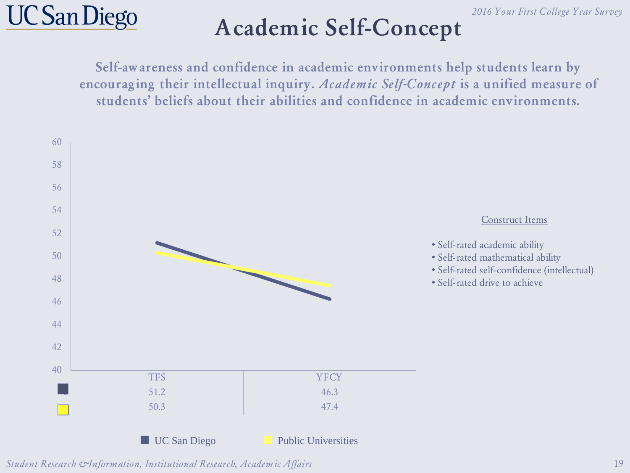

### **Academic Self-Concept**

**Self-awareness and confidence in academic environments help students learn by encouraging their intellectual inquiry.** Academic Self-Concept **is a unified measure of students' beliefs about their abilities and confidence in academic environments.**

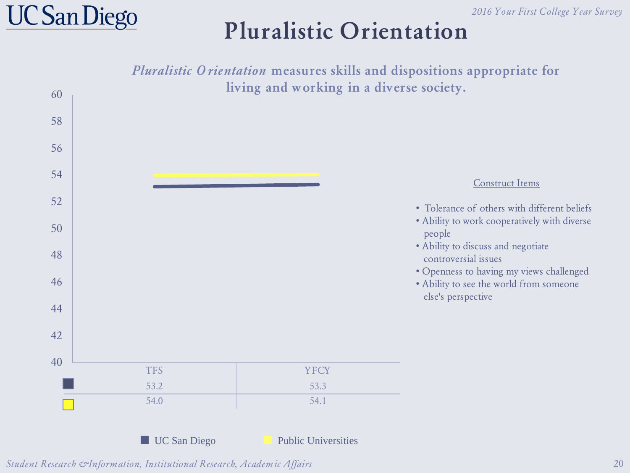## **UC San Diego**

#### **Pluralistic Orientation**

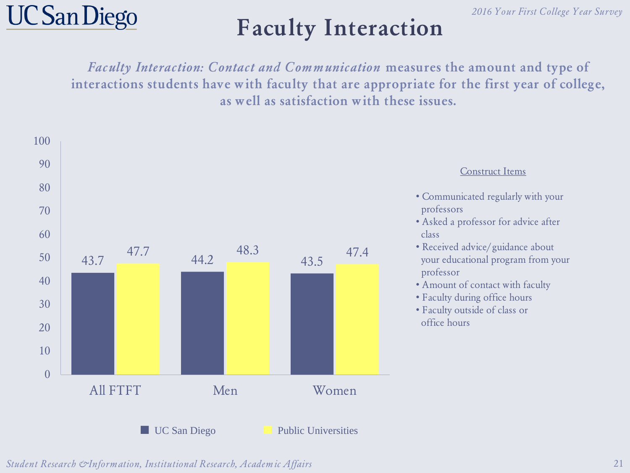

### **Faculty Interaction**

Faculty Interaction: Contact and Communication **measures the amount and type of interactions students have with faculty that are appropriate for the first year of college, as well as satisfaction with these issues.**

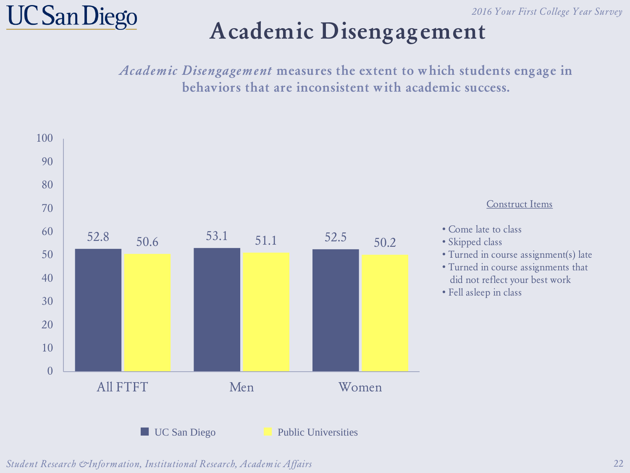

#### **Academic Disengagement**

Academic Disengagement **measures the extent to which students engage in behaviors that are inconsistent with academic success.** 

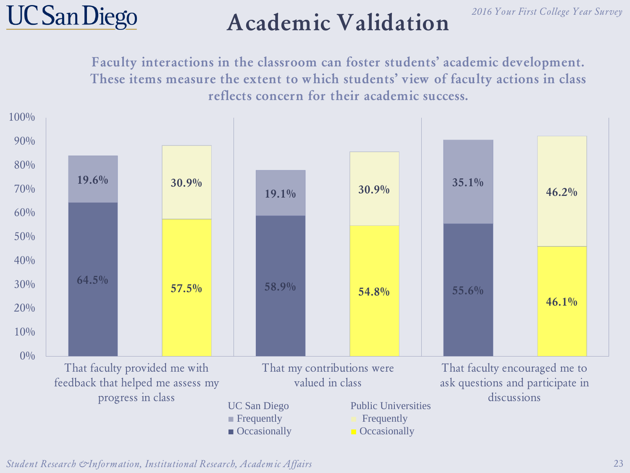

#### **Academic Validation**

**Faculty interactions in the classroom can foster students' academic development. These items measure the extent to which students' view of faculty actions in class reflects concern for their academic success.**



*Student Research & Information, Institutional Research, Academic Affairs* 23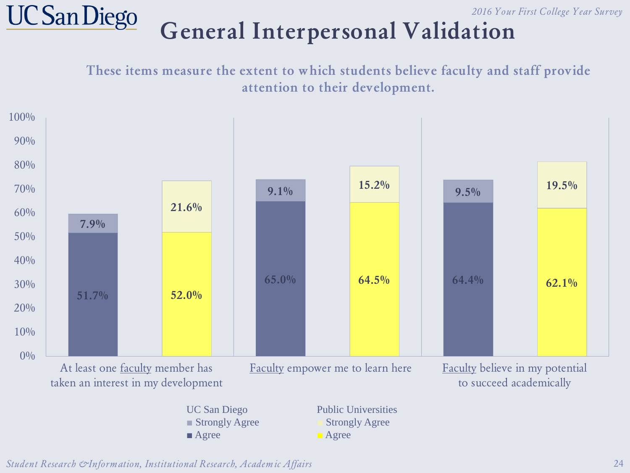#### **General Interpersonal Validation**

**These items measure the extent to which students believe faculty and staff provide attention to their development.**

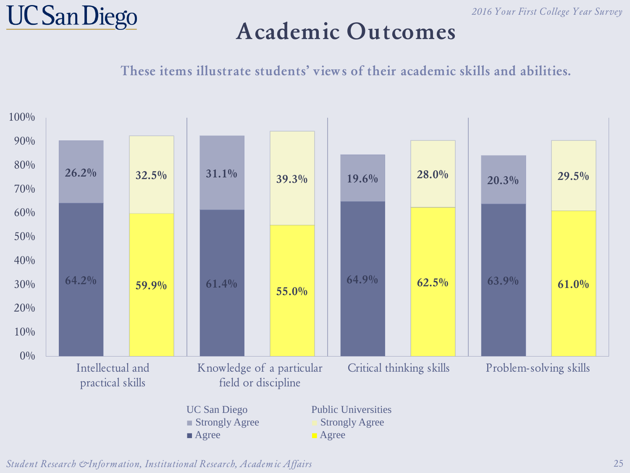

#### **Academic Outcomes**

**These items illustrate students' views of their academic skills and abilities.**

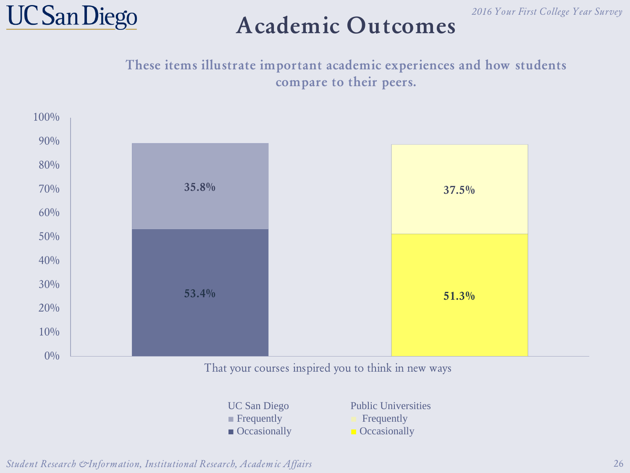



#### **Academic Outcomes**

**These items illustrate important academic experiences and how students compare to their peers.**



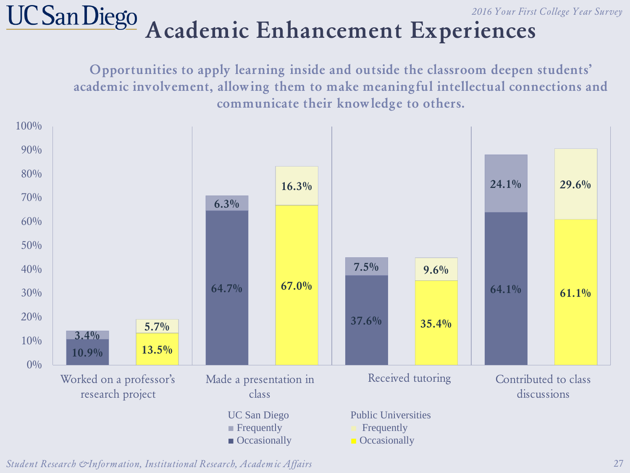#### **UC San Diego Academic Enhancement Experiences**

**Opportunities to apply learning inside and outside the classroom deepen students' academic involvement, allowing them to make meaningful intellectual connections and communicate their knowledge to others.**



*Student Research & Information, Institutional Research, Academic Affairs* 27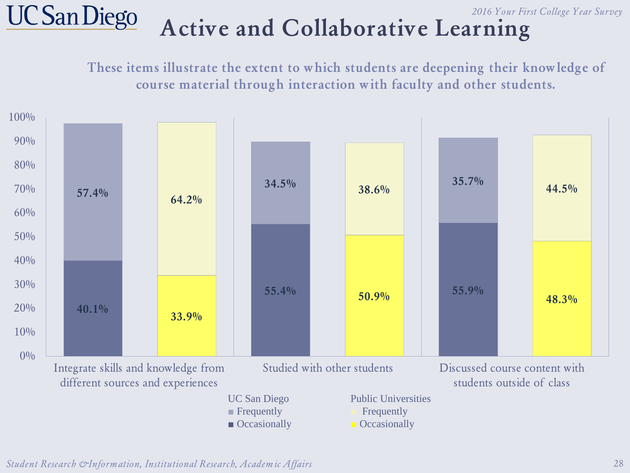#### **UC San Diego** *2016 Your First College Year Survey* **Active and Collaborative Learning**

**These items illustrate the extent to which students are deepening their knowledge of course material through interaction with faculty and other students.**

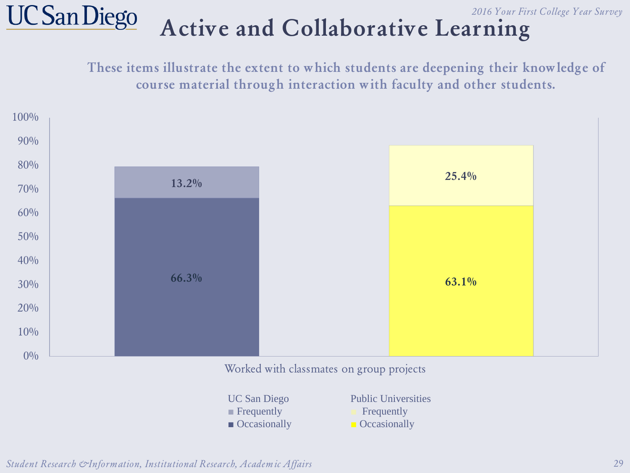

# **Active and Collaborative Learning**

**These items illustrate the extent to which students are deepening their knowledge of course material through interaction with faculty and other students.**



| <b>UC San Diego</b>         | <b>Public Universities</b> |
|-----------------------------|----------------------------|
| $\blacksquare$ Frequently   | Frequently                 |
| $\blacksquare$ Occasionally | <b>Occasionally</b>        |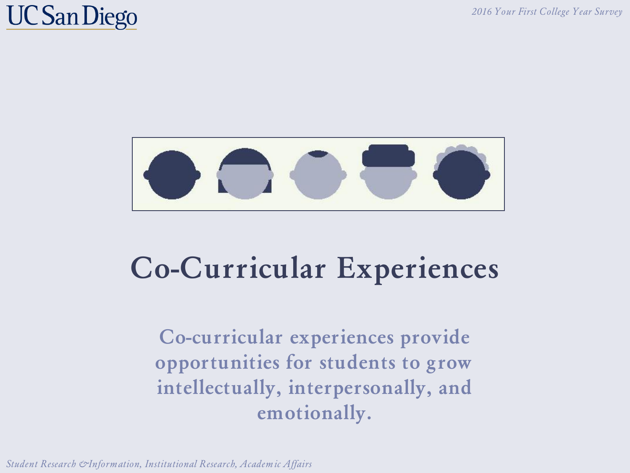### **UC San Diego**



# **Co-Curricular Experiences**

**Co-curricular experiences provide opportunities for students to grow intellectually, interpersonally, and emotionally.**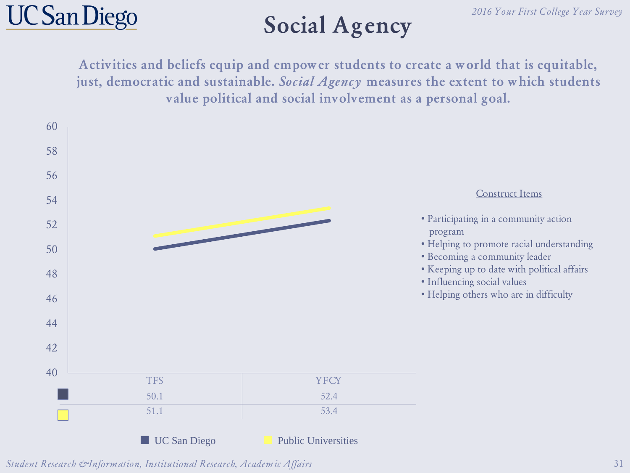## **Social Agency**

**Activities and beliefs equip and empower students to create a world that is equitable, just, democratic and sustainable.** Social Agency **measures the extent to which students value political and social involvement as a personal goal.**

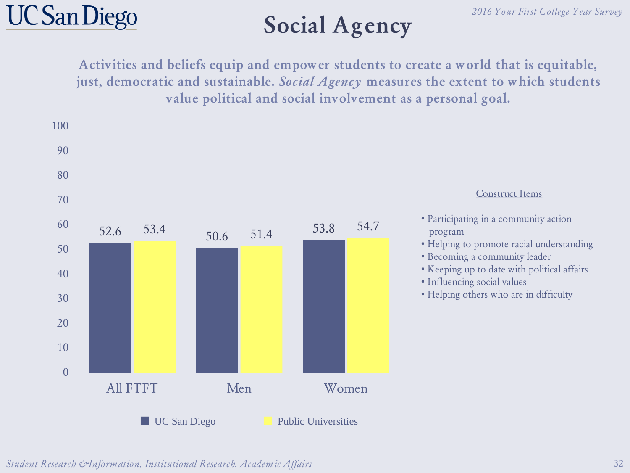## **Social Agency**

**Activities and beliefs equip and empower students to create a world that is equitable, just, democratic and sustainable.** Social Agency **measures the extent to which students value political and social involvement as a personal goal.**

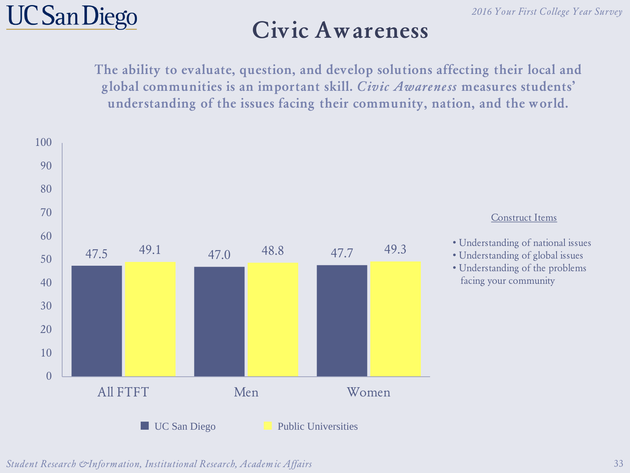#### **Civic Awareness**

**The ability to evaluate, question, and develop solutions affecting their local and global communities is an important skill.** Civic Awareness **measures students' understanding of the issues facing their community, nation, and the world.**

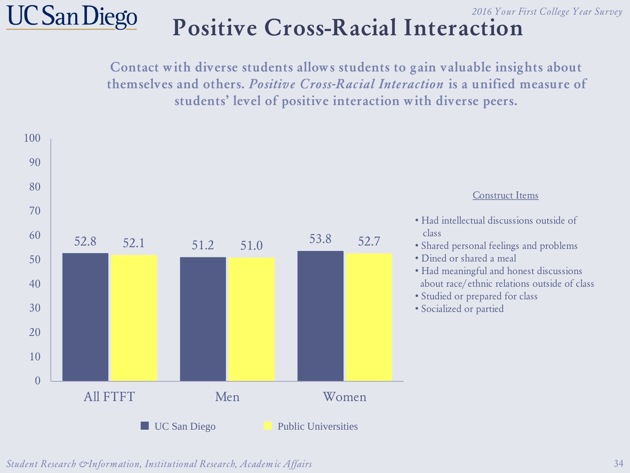

#### *2016 Your First College Year Survey* **Positive Cross-Racial Interaction**

**Contact with diverse students allows students to gain valuable insights about themselves and others.** Positive Cross-Racial Interaction **is a unified measure of students' level of positive interaction with diverse peers.**

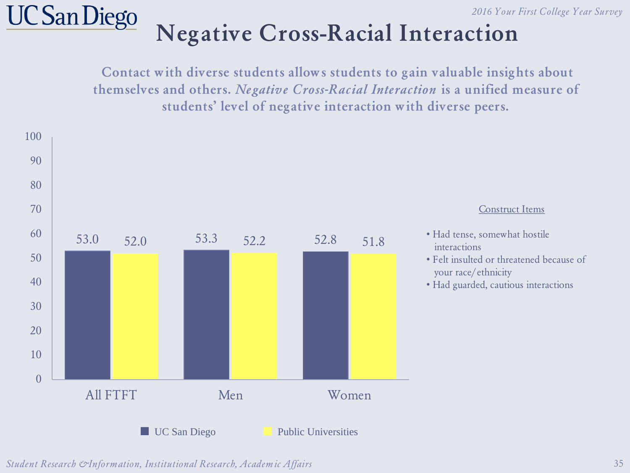# **UC** San Diego

#### **Negative Cross-Racial Interaction**

**Contact with diverse students allows students to gain valuable insights about themselves and others.** Negative Cross-Racial Interaction **is a unified measure of students' level of negative interaction with diverse peers.**

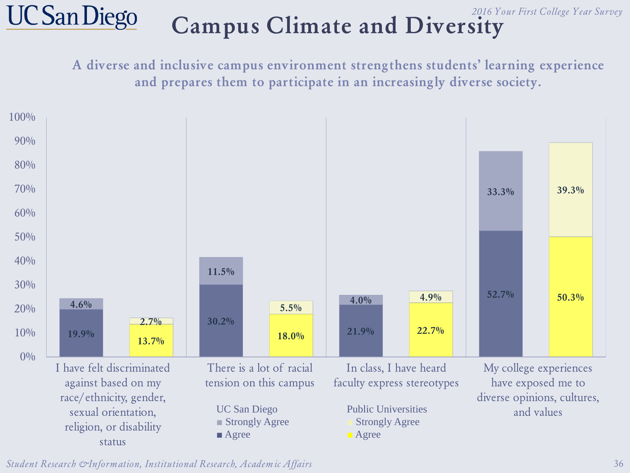#### **UC San Diego** *2016 Your First College Year Survey* **Campus Climate and Diversity**

**A diverse and inclusive campus environment strengthens students' learning experience and prepares them to participate in an increasingly diverse society.** 



*Student Research & Information, Institutional Research, Academic Affairs* 36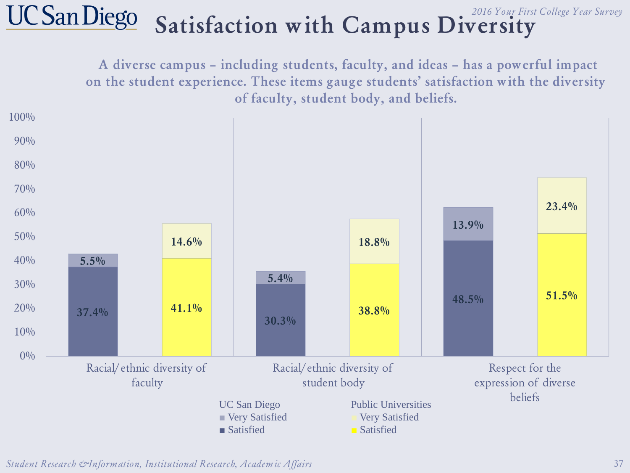#### **UC San Diego** *2016 Your First College Year Survey* **Satisfaction with Campus Diversity**

**A diverse campus – including students, faculty, and ideas – has a powerful impact on the student experience. These items gauge students' satisfaction with the diversity of faculty, student body, and beliefs.** 



*Student Research & Information, Institutional Research, Academic Affairs* 37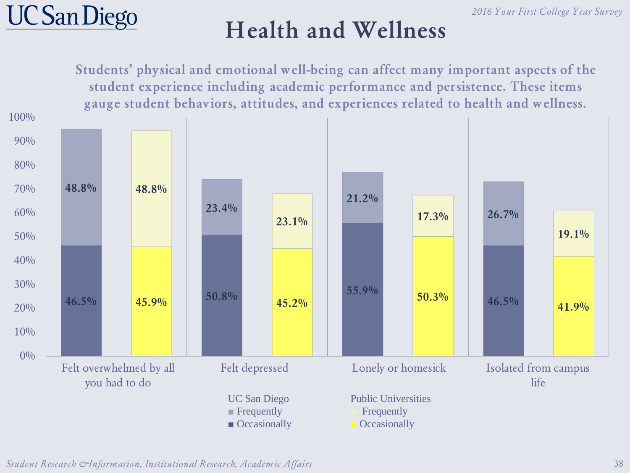

#### **Health and Wellness**

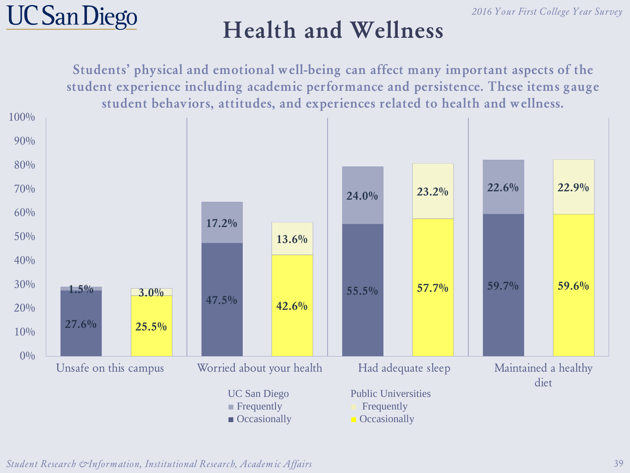

#### **Health and Wellness**



*Student Research & Information, Institutional Research, Academic Affairs* 39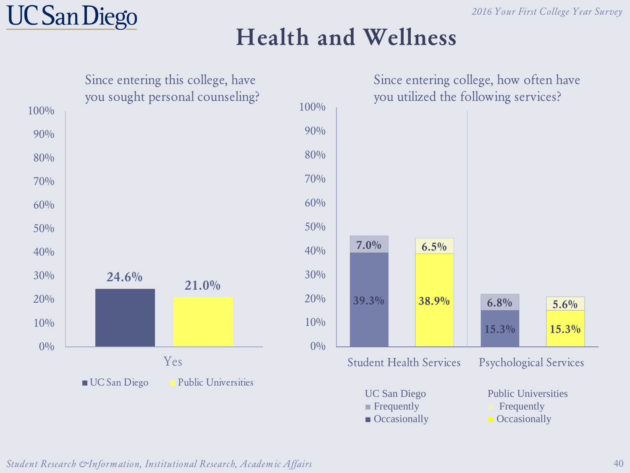#### **Health and Wellness**

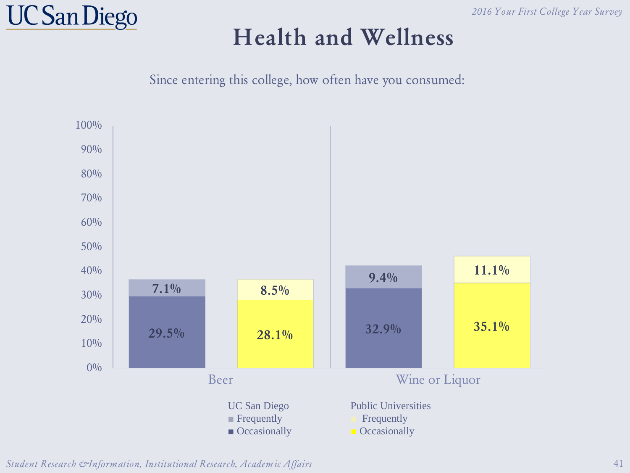

#### **Health and Wellness**

Since entering this college, how often have you consumed:



*Student Research & Information, Institutional Research, Academic Affairs*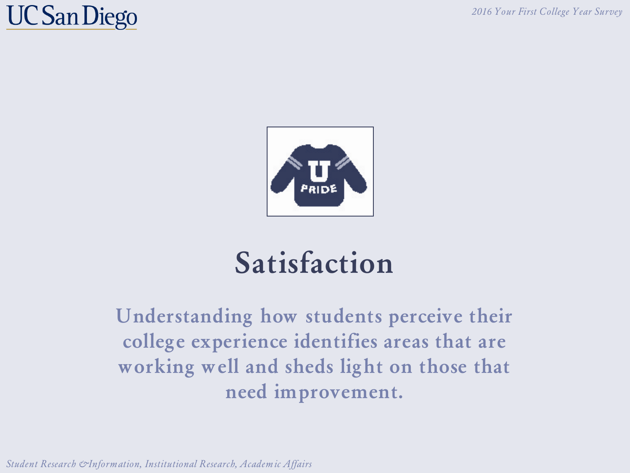## **UC San Diego**



# **Satisfaction**

**Understanding how students perceive their college experience identifies areas that are working well and sheds light on those that need improvement.**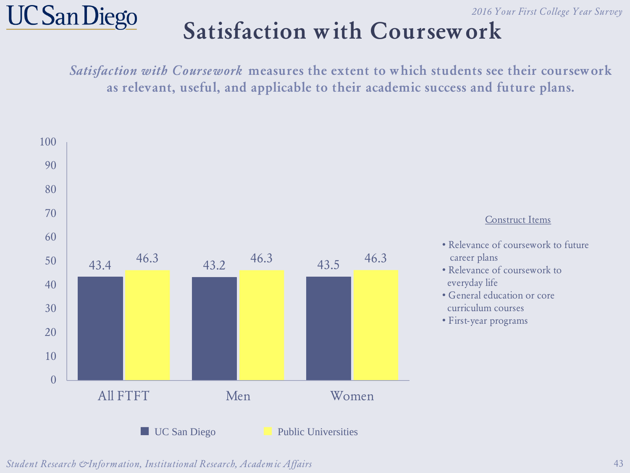#### **Satisfaction with Coursework**

Satisfaction with Coursework **measures the extent to which students see their coursework as relevant, useful, and applicable to their academic success and future plans.**

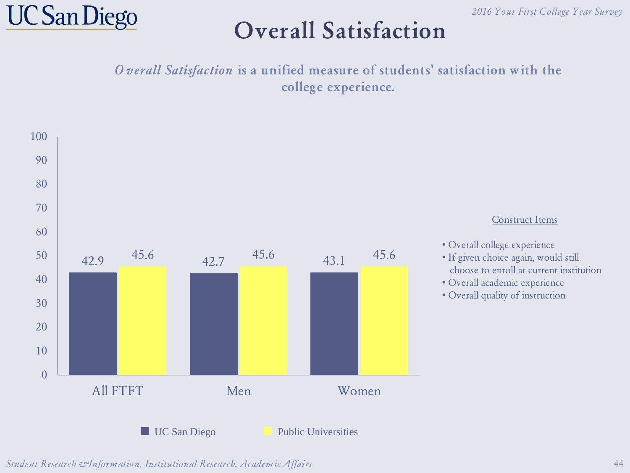

#### **Overall Satisfaction**

O verall Satisfaction **is a unified measure of students' satisfaction with the college experience.**

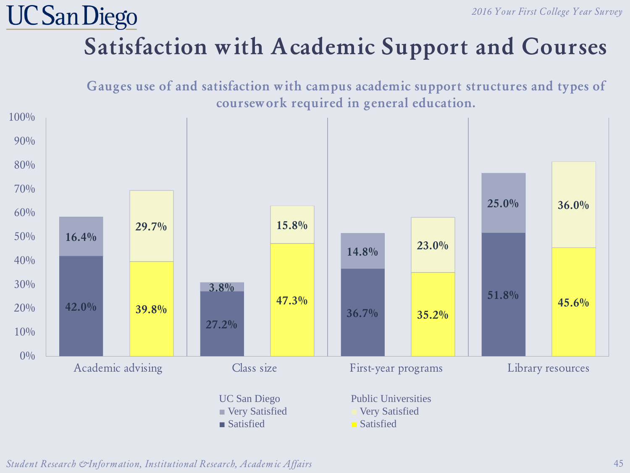## **Satisfaction with Academic Support and Courses**

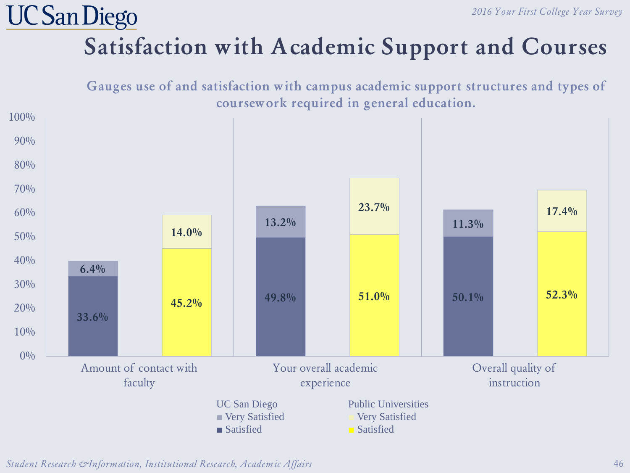## **Satisfaction with Academic Support and Courses**

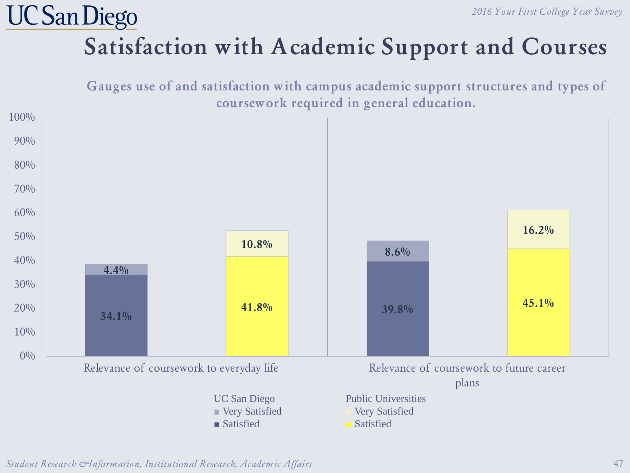## **Satisfaction with Academic Support and Courses**

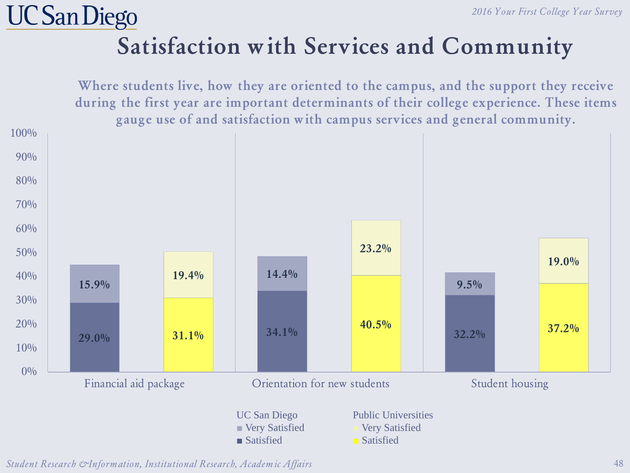### **Satisfaction with Services and Community**

**Where students live, how they are oriented to the campus, and the support they receive during the first year are important determinants of their college experience. These items gauge use of and satisfaction with campus services and general community.**



*Student Research & Information, Institutional Research, Academic Affairs* 48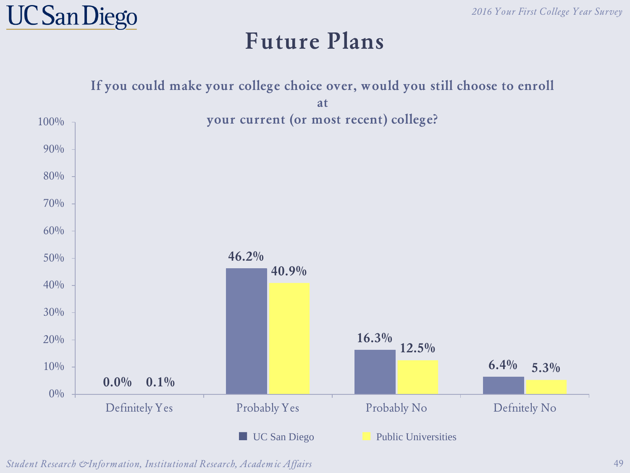

#### **Future Plans**

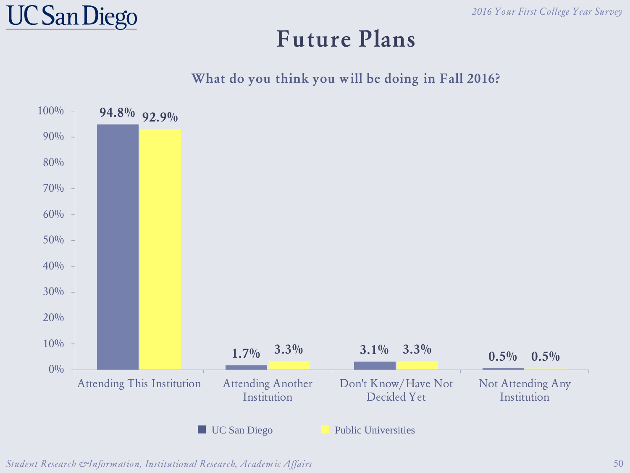

#### **Future Plans**

#### **What do you think you will be doing in Fall 2016?**

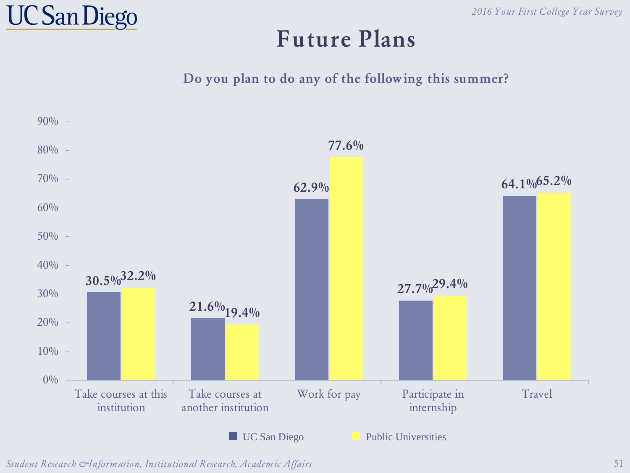

#### **Future Plans**

**Do you plan to do any of the following this summer?**